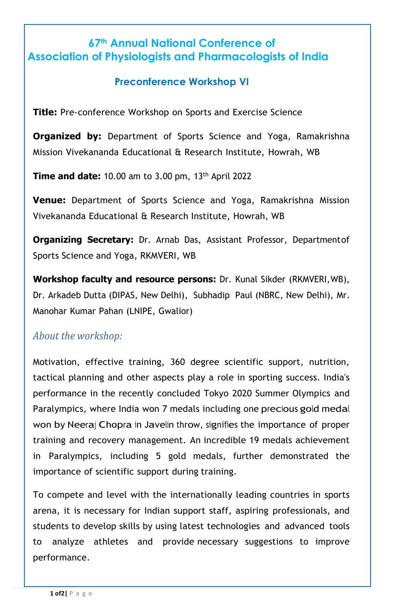# **67th Annual National Conference of Association of Physiologists and Pharmacologists of India**

### **Preconference Workshop VI**

**Title:** Pre-conference Workshop on Sports and Exercise Science

**Organized by:** Department of Sports Science and Yoga, Ramakrishna Mission Vivekananda Educational & Research Institute, Howrah, WB

**Time and date:** 10.00 am to 3.00 pm, 13th April 2022

**Venue:** Department of Sports Science and Yoga, Ramakrishna Mission Vivekananda Educational & Research Institute, Howrah, WB

**Organizing Secretary:** Dr. Arnab Das, Assistant Professor, Departmentof Sports Science and Yoga, RKMVERI, WB

**Workshop faculty and resource persons:** Dr. Kunal Sikder (RKMVERI,WB), Dr. Arkadeb Dutta (DIPAS, New Delhi), Subhadip Paul (NBRC, New Delhi), Mr. Manohar Kumar Pahan (LNIPE, Gwalior)

#### *About the workshop:*

Motivation, effective training, 360 degree scientific support, nutrition, tactical planning and other aspects play a role in sporting success. India's performance in the recently concluded Tokyo 2020 Summer Olympics and Paralympics, where India won 7 medals including one precious gold medal won by Neeraj Chopra in Javelin throw, signifies the importance of proper training and recovery management. An incredible 19 medals achievement in Paralympics, including 5 gold medals, further demonstrated the importance of scientific support during training.

To compete and level with the internationally leading countries in sports arena, it is necessary for Indian support staff, aspiring professionals, and students to develop skills by using latest technologies and advanced tools to analyze athletes and provide necessary suggestions to improve performance.